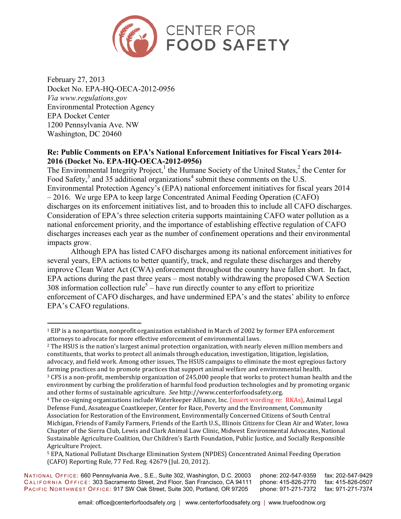

February 27, 2013 Docket No. EPA-HQ-OECA-2012-0956 *Via www.regulations.gov* Environmental Protection Agency EPA Docket Center 1200 Pennsylvania Ave. NW Washington, DC 20460

 $\overline{a}$ 

### **Re: Public Comments on EPA's National Enforcement Initiatives for Fiscal Years 2014- 2016 (Docket No. EPA-HQ-OECA-2012-0956)**

The Environmental Integrity Project,<sup>1</sup> the Humane Society of the United States,<sup>2</sup> the Center for Food Safety,<sup>3</sup> and 35 additional organizations<sup>4</sup> submit these comments on the U.S. Environmental Protection Agency's (EPA) national enforcement initiatives for fiscal years 2014 – 2016. We urge EPA to keep large Concentrated Animal Feeding Operation (CAFO) discharges on its enforcement initiatives list, and to broaden this to include all CAFO discharges. Consideration of EPA's three selection criteria supports maintaining CAFO water pollution as a national enforcement priority, and the importance of establishing effective regulation of CAFO discharges increases each year as the number of confinement operations and their environmental impacts grow.

Although EPA has listed CAFO discharges among its national enforcement initiatives for several years, EPA actions to better quantify, track, and regulate these discharges and thereby improve Clean Water Act (CWA) enforcement throughout the country have fallen short. In fact, EPA actions during the past three years – most notably withdrawing the proposed CWA Section 308 information collection rule<sup>5</sup> – have run directly counter to any effort to prioritize enforcement of CAFO discharges, and have undermined EPA's and the states' ability to enforce EPA's CAFO regulations.

<sup>2</sup> The HSUS is the nation's largest animal protection organization, with nearly eleven million members and constituents, that works to protect all animals through education, investigation, litigation, legislation, advocacy, and field work. Among other issues, The HSUS campaigns to eliminate the most egregious factory farming practices and to promote practices that support animal welfare and environmental health. <sup>3</sup> CFS is a non-profit, membership organization of 245,000 people that works to protect human health and the environment by curbing the proliferation of harmful food production technologies and by promoting organic and other forms of sustainable agriculture. *See* http://www.centerforfoodsafety.org.

<sup>4</sup> The co-signing organizations include Waterkeeper Alliance, Inc. {insert wording re: RKAs}, Animal Legal Defense Fund, Assateague Coastkeeper, Center for Race, Poverty and the Environment, Community Association for Restoration of the Environment, Environmentally Concerned Citizens of South Central Michigan, Friends of Family Farmers, Friends of the Earth U.S., Illinois Citizens for Clean Air and Water, Iowa Chapter of the Sierra Club, Lewis and Clark Animal Law Clinic, Midwest Environmental Advocates, National Sustainable Agriculture Coalition, Our Children's Earth Foundation, Public Justice, and Socially Responsible Agriculture Project.

<sup>5</sup> EPA, National Pollutant Discharge Elimination System (NPDES) Concentrated Animal Feeding Operation (CAFO) Reporting Rule, 77 Fed. Reg. 42679 (Jul. 20, 2012).

NATIONAL OFFICE: 660 Pennsylvania Ave., S.E., Suite 302, Washington, D.C. 20003 phone: 202-547-9359 fax: 202-547-9429<br>CALIFORNIA OFFICE: 303 Sacramento Street. 2nd Floor, San Francisco, CA 94111 phone: 415-826-2770 fax: 41 CALIFORNIA OFFICE: 303 Sacramento Street, 2nd Floor, San Francisco, CA 94111 phone: 415-826-2770 fax: 415-826-0507<br>Pacific Northwest Office: 917 SW Oak Street, Suite 300, Portland, OR 97205 phone: 971-271-7372 fax: 971-271 PACIFIC NORTHWEST OFFICE: 917 SW Oak Street, Suite 300, Portland, OR 97205

<sup>1</sup> EIP is a nonpartisan, nonprofit organization established in March of 2002 by former EPA enforcement attorneys to advocate for more effective enforcement of environmental laws.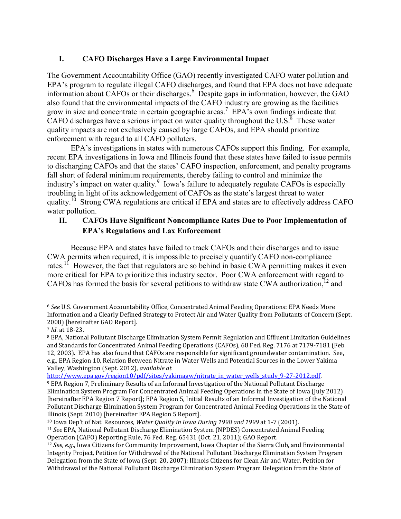## **I. CAFO Discharges Have a Large Environmental Impact**

The Government Accountability Office (GAO) recently investigated CAFO water pollution and EPA's program to regulate illegal CAFO discharges, and found that EPA does not have adequate information about CAFOs or their discharges.<sup>6</sup> Despite gaps in information, however, the GAO also found that the environmental impacts of the CAFO industry are growing as the facilities grow in size and concentrate in certain geographic areas.<sup>7</sup> EPA's own findings indicate that CAFO discharges have a serious impact on water quality throughout the U.S. $^8$  These water quality impacts are not exclusively caused by large CAFOs, and EPA should prioritize enforcement with regard to all CAFO polluters.

EPA's investigations in states with numerous CAFOs support this finding. For example, recent EPA investigations in Iowa and Illinois found that these states have failed to issue permits to discharging CAFOs and that the states' CAFO inspection, enforcement, and penalty programs fall short of federal minimum requirements, thereby failing to control and minimize the industry's impact on water quality.<sup>9</sup> Iowa's failure to adequately regulate CAFOs is especially troubling in light of its acknowledgement of CAFOs as the state's largest threat to water quality.<sup>10</sup> Strong CWA regulations are critical if EPA and states are to effectively address CAFO water pollution.

# **II. CAFOs Have Significant Noncompliance Rates Due to Poor Implementation of EPA's Regulations and Lax Enforcement**

Because EPA and states have failed to track CAFOs and their discharges and to issue CWA permits when required, it is impossible to precisely quantify CAFO non-compliance rates.<sup>11</sup> However, the fact that regulators are so behind in basic CWA permitting makes it even more critical for EPA to prioritize this industry sector. Poor CWA enforcement with regard to CAFOs has formed the basis for several petitions to withdraw state CWA authorization,  $12$  and

<u>.</u>

http://www.epa.gov/region10/pdf/sites/yakimagw/nitrate\_in\_water\_wells\_study\_9-27-2012.pdf.

<sup>6</sup> *See* U.S. Government Accountability Office, Concentrated Animal Feeding Operations: EPA Needs More Information and a Clearly Defined Strategy to Protect Air and Water Quality from Pollutants of Concern (Sept. 2008) [hereinafter GAO Report].

<sup>7</sup> *Id*. at 18-23.

<sup>8</sup> EPA, National Pollutant Discharge Elimination System Permit Regulation and Effluent Limitation Guidelines and Standards for Concentrated Animal Feeding Operations (CAFOs), 68 Fed. Reg. 7176 at 7179-7181 (Feb. 12, 2003). EPA has also found that CAFOs are responsible for significant groundwater contamination. See, e.g., EPA Region 10, Relation Between Nitrate in Water Wells and Potential Sources in the Lower Yakima Valley, Washington (Sept. 2012), *available at*

<sup>9</sup> EPA Region 7, Preliminary Results of an Informal Investigation of the National Pollutant Discharge Elimination System Program For Concentrated Animal Feeding Operations in the State of Iowa (July 2012) [hereinafter EPA Region 7 Report]; EPA Region 5, Initial Results of an Informal Investigation of the National Pollutant Discharge Elimination System Program for Concentrated Animal Feeding Operations in the State of Illinois (Sept. 2010) [hereinafter EPA Region 5 Report].

<sup>10</sup> Iowa Dep't of Nat. Resources, *Water Quality in Iowa During 1998 and 1999* at 1-7 (2001).

<sup>11</sup> *See* EPA, National Pollutant Discharge Elimination System (NPDES) Concentrated Animal Feeding Operation (CAFO) Reporting Rule, 76 Fed. Reg. 65431 (Oct. 21, 2011); GAO Report.

<sup>12</sup> *See, e.g*., Iowa Citizens for Community Improvement, Iowa Chapter of the Sierra Club, and Environmental Integrity Project, Petition for Withdrawal of the National Pollutant Discharge Elimination System Program Delegation from the State of Iowa (Sept. 20, 2007); Illinois Citizens for Clean Air and Water, Petition for Withdrawal of the National Pollutant Discharge Elimination System Program Delegation from the State of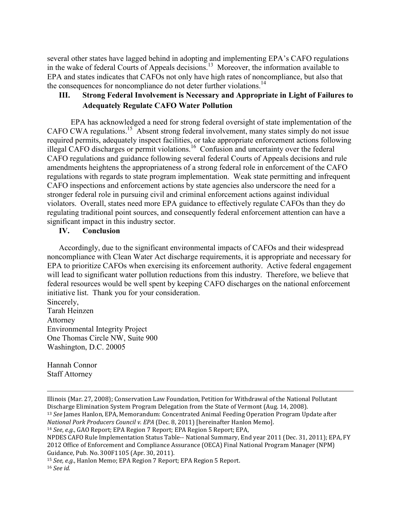several other states have lagged behind in adopting and implementing EPA's CAFO regulations in the wake of federal Courts of Appeals decisions.<sup>13</sup> Moreover, the information available to EPA and states indicates that CAFOs not only have high rates of noncompliance, but also that the consequences for noncompliance do not deter further violations.<sup>14</sup>

## **III. Strong Federal Involvement is Necessary and Appropriate in Light of Failures to Adequately Regulate CAFO Water Pollution**

EPA has acknowledged a need for strong federal oversight of state implementation of the CAFO CWA regulations.<sup>15</sup> Absent strong federal involvement, many states simply do not issue required permits, adequately inspect facilities, or take appropriate enforcement actions following illegal CAFO discharges or permit violations.<sup>16</sup> Confusion and uncertainty over the federal CAFO regulations and guidance following several federal Courts of Appeals decisions and rule amendments heightens the appropriateness of a strong federal role in enforcement of the CAFO regulations with regards to state program implementation. Weak state permitting and infrequent CAFO inspections and enforcement actions by state agencies also underscore the need for a stronger federal role in pursuing civil and criminal enforcement actions against individual violators. Overall, states need more EPA guidance to effectively regulate CAFOs than they do regulating traditional point sources, and consequently federal enforcement attention can have a significant impact in this industry sector.

#### **IV. Conclusion**

Accordingly, due to the significant environmental impacts of CAFOs and their widespread noncompliance with Clean Water Act discharge requirements, it is appropriate and necessary for EPA to prioritize CAFOs when exercising its enforcement authority. Active federal engagement will lead to significant water pollution reductions from this industry. Therefore, we believe that federal resources would be well spent by keeping CAFO discharges on the national enforcement initiative list. Thank you for your consideration.

Sincerely, Tarah Heinzen Attorney Environmental Integrity Project One Thomas Circle NW, Suite 900 Washington, D.C. 20005

Hannah Connor Staff Attorney

*National Pork Producers Council v. EPA* (Dec. 8, 2011) [hereinafter Hanlon Memo].

<u>.</u>

Illinois (Mar. 27, 2008); Conservation Law Foundation, Petition for Withdrawal of the National Pollutant Discharge Elimination System Program Delegation from the State of Vermont (Aug. 14, 2008). <sup>13</sup> *See* James Hanlon, EPA, Memorandum: Concentrated Animal Feeding Operation Program Update after

<sup>14</sup> *See*, *e.g.*, GAO Report; EPA Region 7 Report; EPA Region 5 Report; EPA,

NPDES CAFO Rule Implementation Status Table-- National Summary, End year 2011 (Dec. 31, 2011); EPA, FY 2012 Office of Enforcement and Compliance Assurance (OECA) Final National Program Manager (NPM) Guidance, Pub. No. 300F1105 (Apr. 30, 2011).

<sup>15</sup> *See, e.g.*, Hanlon Memo; EPA Region 7 Report; EPA Region 5 Report.

<sup>16</sup> *See id.*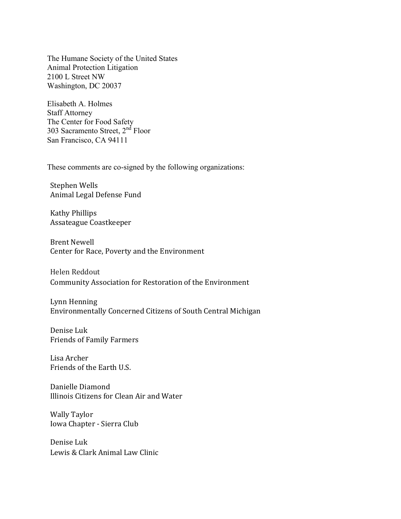The Humane Society of the United States Animal Protection Litigation 2100 L Street NW Washington, DC 20037

Elisabeth A. Holmes Staff Attorney The Center for Food Safety 303 Sacramento Street, 2<sup>nd</sup> Floor San Francisco, CA 94111

These comments are co-signed by the following organizations:

Stephen Wells Animal Legal Defense Fund

Kathy Phillips Assateague Coastkeeper

Brent Newell Center for Race, Poverty and the Environment

Helen Reddout Community Association for Restoration of the Environment

Lynn Henning Environmentally Concerned Citizens of South Central Michigan

Denise Luk Friends of Family Farmers

Lisa Archer Friends of the Earth U.S.

Danielle Diamond Illinois Citizens for Clean Air and Water

Wally Taylor Iowa Chapter - Sierra Club

Denise Luk Lewis & Clark Animal Law Clinic